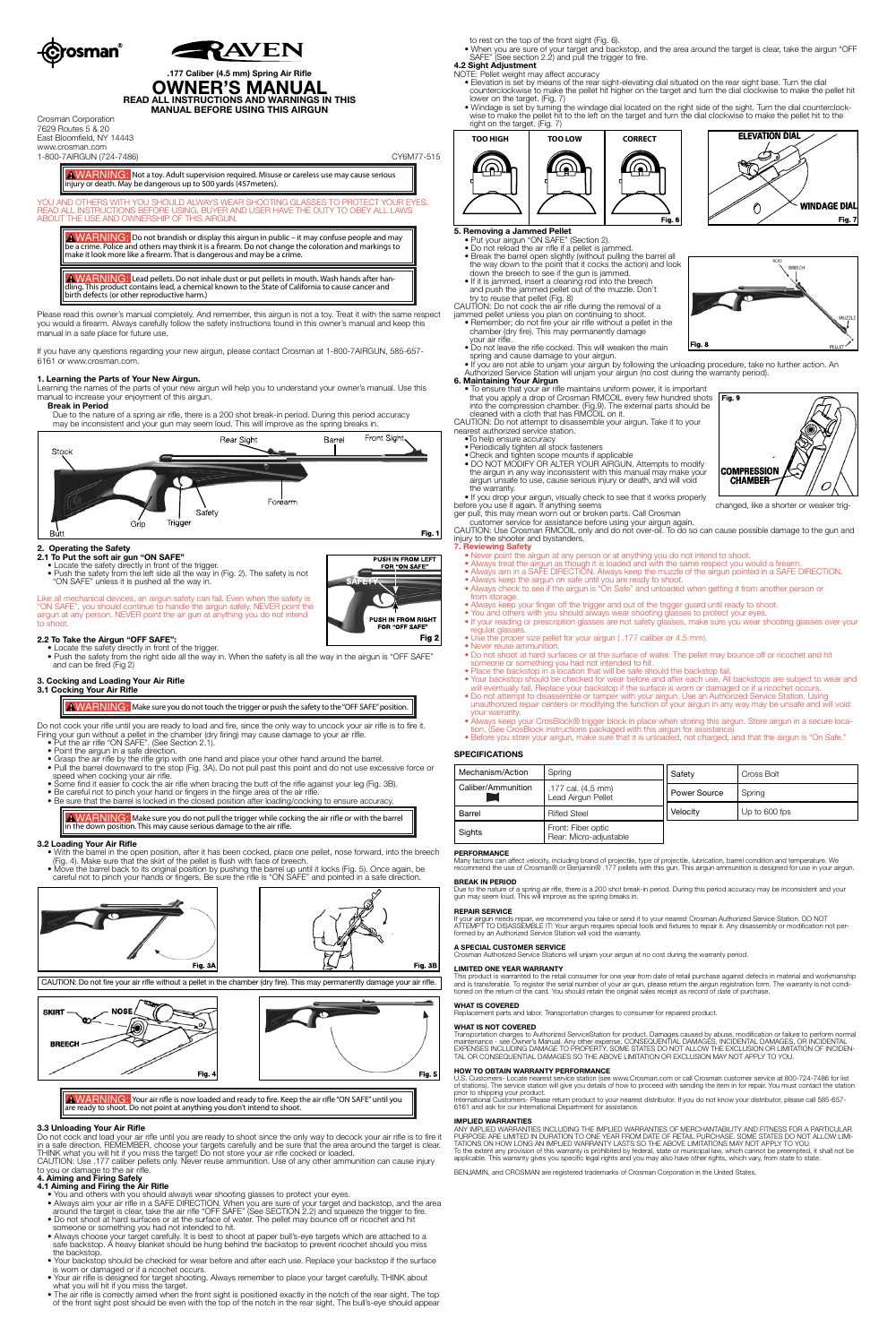



# **.177 Caliber (4.5 mm) Spring Air Rifle OWNER'S MANUAL READ ALL INSTRUCTIONS AND WARNINGS IN THIS**

**MANUAL BEFORE USING THIS AIRGUN**

Crosman Corporation 7629 Routes 5 & 20 East Bloomfield, NY 14443 www.crosman.com 1-800-7AIRGUN (724-7486) CY6M77-515

AWARNING: Not a toy. Adult supervision required. Misuse or careless use may cause serious

injury or death. May be dangerous up to 500 yards (457meters).

YOU AND OTHERS WITH YOU SHOULD ALWAYS WEAR SHOOTING GLASSES TO PROTECT YOUR EYES. READ ALL INSTRUCTIONS BEFORE USING. BUYER AND USER HAVE THE DUTY TO OBEY ALL LAWS ABOUT THE USE AND OWNERSHIP OF THIS AIRGUN.

A WARNING: Lead pellets. Do not inhale dust or put pellets in mouth. Wash hands after handling. This product contains lead, a chemical known to the State of California to cause cancer and birth defects (or other reproductive harm.)

WARNING: Do not brandish or display this airgun in public – it may confuse people and may be a crime. Police and others may think it is a firearm. Do not change the coloration and markings to make it look more like a firearm. That is dangerous and may be a crime.

Please read this owner's manual completely. And remember, this airgun is not a toy. Treat it with the same respect you would a firearm. Always carefully follow the safety instructions found in this owner's manual and keep this manual in a safe place for future use.

Do not cock your rifle until you are ready to load and fire, since the only way to uncock your air rifle is to fire it. Firing your gun without a pellet in the chamber (dry firing) may cause damage to your air rifle.

If you have any questions regarding your new airgun, please contact Crosman at 1-800-7AIRGUN, 585-657- 6161 or www.crosman.com.

# **1. Learning the Parts of Your New Airgun.**

Learning the names of the parts of your new airgun will help you to understand your owner's manual. Use this manual to increase your enjoyment of this airgun.

# **Break in Period**

 Due to the nature of a spring air rifle, there is a 200 shot break-in period. During this period accuracy may be inconsistent and your gun may seem loud. This will improve as the spring breaks in.



AWARNING: Make sure you do not pull the trigger while cocking the air rifle or with the barrel in the down position. This may cause serious damage to the air rifle.

## **2. Operating the Safety**

- **2.1 To Put the soft air gun "ON SAFE"**
- Locate the safety directly in front of the trigger.
- Locate the safety directly in horit of the the says...<br>• Push the safety from the left side all the way in (Fig. 2). The safety is not "ON SAFE" unless it is pushed all the way in.

Like all mechanical devices, an airgun safety can fail. Even when the safety is "ON SAFE", you should continue to handle the airgun safely. NEVER point the airgun at any person. NEVER point the air gun at anything you do not intend to shoot.

**2.2 To Take the Airgun "OFF SAFE":** • Locate the safety directly in front of the trigger. • Push the safety from the right side all the way in. When the safety is all the way in the airgun is "OFF SAFE" and can be fired (Fig 2)

# **3. Cocking and Loading Your Air Rifle**

**3.1 Cocking Your Air Rifle**

**A WARNING:** Make sure you do not touch the trigger or push the safety to the "OFF SAFE" position.

- Put the air rifle "ON SAFE". (See Section 2.1).
- Point the airgun in a safe direction. • Grasp the air rifle by the rifle grip with one hand and place your other hand around the barrel.
- Pull the barrel downward to the stop (Fig. 3A). Do not pull past this point and do not use excessive force or speed when cocking your air rifle.
- Some find it easier to cock the air rifle when bracing the butt of the rifle against your leg (Fig. 3B).
- Be careful not to pinch your hand or fingers in the hinge area of the air rifle.

• Be sure that the barrel is locked in the closed position after loading/cocking to ensure accuracy.

# **3.2 Loading Your Air Rifle**

- With the barrel in the open position, after it has been cocked, place one pellet, nose forward, into the breech (Fig. 4). Make sure that the skirt of the pellet is flush with face of breech.
- Move the barrel back to its original position by pushing the barrel up until it locks (Fig. 5). Once again, be careful not to pinch your hands or fingers. Be sure the rifle is "ON SAFE" and pointed in a safe direction.



CAUTION: Do not fire your air rifle without a pellet in the chamber (dry fire). This may permanently damage your air rifle.





AWARNING: Your air rifle is now loaded and ready to fire. Keep the air rifle "ON SAFE" until you are ready to shoot. Do not point at anything you don't intend to shoot.

# **3.3 Unloading Your Air Rifle**

Do not cock and load your air rifle until you are ready to shoot since the only way to decock your air rifle is to fire it in a safe direction. REMEMBER, choose your targets carefully and be sure that the area around the target is clear. THINK what you will hit if you miss the target! Do not store your air rifle cocked or loaded.

CAUTION: Use .177 caliber pellets only. Never reuse ammunition. Use of any other ammunition can cause injury to you or damage to the air rifle.

### **4. Aiming and Firing Safely**

- **4.1 Aiming and Firing the Air Rifle** You and others with you should always wear shooting glasses to protect your eyes.
- Always aim your air rifle in a SAFE DIRECTION. When you are sure of your target and backstop, and the area around the target is clear, take the air rifle "OFF SAFE" (See SECTION 2.2) and squeeze the trigger to fire.
- Do not shoot at hard surfaces or at the surface of water. The pellet may bounce off or ricochet and hit someone or something you had not intended to hit.
- Always choose your target carefully. It is best to shoot at paper bull's-eye targets which are attached to a safe backstop. A heavy blanket should be hung behind the backstop to prevent ricochet should you miss the backstop.
- Your backstop should be checked for wear before and after each use. Replace your backstop if the surface is worn or damaged or if a ricochet occurs.
- Your air rifle is designed for target shooting. Always remember to place your target carefully. THINK about what you will hit if you miss the target.
- The air rifle is correctly aimed when the front sight is positioned exactly in the notch of the rear sight. The top of the front sight post should be even with the top of the notch in the rear sight. The bull's-eye should appear

This product is warranted to the retail consumer for one year from date of retail purchase against defects in material and workmanship<br>and is transferable. To register the serial number of your air gun, please return the a tioned on the return of the card. You should retain the original sales receipt as record of date of purchase.

to rest on the top of the front sight (Fig. 6).

• When you are sure of your target and backstop, and the area around the target is clear, take the airgun "OFF SAFE" (See section 2.2) and pull the trigger to fire.

### **4.2 Sight Adjustment** NOTE: Pellet weight may affect accuracy

Transportation charges to Authorized ServiceStation for product. Damages caused by abuse, modification or failure to perform normal<br>maintenance - see Owner's Manual. Any other expense. CONSEQUENTIAL DAMAGES, INCIDENTAL DAM TAL OR CONSEQUENTIAL DAMAGES SO THE ABOVE LIMITATION OR EXCLUSION MAY NOT APPLY TO YOU.

U.S. Customers- Locate nearest service station (see www.Crosman.com or call Crosman customer service at 800-724-7486 for list<br>of stations). The service station will give you details of how to proceed with sending the item prior to shipping your product.

- Elevation is set by means of the rear sight-elevating dial situated on the rear sight base. Turn the dial counterclockwise to make the pellet hit higher on the target and turn the dial clockwise to make the pellet hit lower on the target. (Fig. 7)
- Windage is set by turning the windage dial located on the right side of the sight. Turn the dial counterclock wise to make the pellet hit to the left on the target and turn the dial clockwise to make the pellet hit to the right on the target. (Fig. 7)

ANY IMPLIED WARRANTIES INCLUDING THE IMPLIED WARRANTIES OF MERCHANTABILITY AND FITNESS FOR A PARTICULAR PURPOSE ARE LIMITED IN DURATION TO ONE YEAR FROM DATE OF RETAIL PURCHASE. SOME STATES DO NOT ALLOW LIMI-TATIONS ON HOW LONG AN IMPLIED WARRANTY LASTS SO THE ABOVE LIMITATIONS MAY NOT APPLY TO YOU.<br>To the extent any provision of this warranty is prohibited by federal, state or municipal law, which cannot be preempted, it shal

# **5. Removing a Jammed Pellet** • Put your airgun "ON SAFE" (Section 2).

- 
- Do not reload the air rifle if a pellet is jammed. • Break the barrel open slightly (without pulling the barrel all the way down to the point that it cocks the action) and look
- down the breech to see if the gun is jammed.
- If it is jammed, insert a cleaning rod into the breech and push the jammed pellet out of the muzzle. Don't try to reuse that pellet (Fig. 8)
- CAUTION: Do not cock the air rifle during the removal of a jammed pellet unless you plan on continuing to shoot.
- Remember; do not fire your air rifle without a pellet in the
- chamber (dry fire). This may permanently damage
- your air rifle.
- Do not leave the rifle cocked. This will weaken the main
- spring and cause damage to your airgun. • If you are not able to unjam your airgun by following the unloading procedure, take no further action. An
- Authorized Service Station will unjam your airgun (no cost during the warranty period).
- 



CAUTION: Do not attempt to disassemble your airgun. Take it to your nearest authorized service station.

- •To help ensure accuracy
- •Periodically tighten all stock fasteners
- •Check and tighten scope mounts if applicable • DO NOT MODIFY OR ALTER YOUR AIRGUN. Attempts to modify
- the airgun in any way inconsistent with this manual may make your airgun unsafe to use, cause serious injury or death, and will void the warranty.

• If you drop your airgun, visually check to see that it works properly before you use it again. If anything seems changed, like a shorter or weaker trig-

ger pull, this may mean worn out or broken parts. Call Crosman customer service for assistance before using your airgun again.

CAUTION: Use Crosman RMCOIL only and do not over-oil. To do so can cause possible damage to the gun and injury to the shooter and bystanders.

## **7. Reviewing Safety**

**PUSH IN FROM LEFT** FOR "ON SAFE"

PUSH IN FROM RIGHT FOR "OFF SAFE"

Fig 2

- Never point the airgun at any person or at anything you do not intend to shoot.
- Always treat the airgun as though it is loaded and with the same respect you would a firearm.
- Always aim in a SAFE DIRECTION. Always keep the muzzle of the airgun pointed in a SAFE DIRECTION.
- Always keep the airgun on safe until you are ready to shoot. • Always check to see if the airgun is "On Safe" and unloaded when getting it from another person or from storage.
- Always keep your finger off the trigger and out of the trigger guard until ready to shoot.
- You and others with you should always wear shooting glasses to protect your eyes.
- If your reading or prescription glasses are not safety glasses, make sure you wear shooting glasses over your regular glasse
- Use the proper size pellet for your airgun ( .177 caliber or 4.5 mm).
- Never reuse ammunition. • Do not shoot at hard surfaces or at the surface of water. The pellet may bounce off or ricochet and hit
- someone or something you had not intended to hit.
- Place the backstop in a location that will be safe should the backstop fail. • Your backstop should be checked for wear before and after each use. All backstops are subject to wear and
- will eventually fail. Replace your backstop if the surface is worn or damaged or if a ricochet occurs. • Do not attempt to disassemble or tamper with your airgun. Use an Authorized Service Station. Using
- unauthorized repair centers or modifying the function of your airgun in any way may be unsafe and will void your warranty.
- Always keep your CrosBlock® trigger block in place when storing this airgun. Store airgun in a secure loca tion. (See CrosBlock instructions packaged with this airgun for assistance)
	- Before you store your airgun, make sure that it is unloaded, not charged, and that the airgun is "On Safe."

# **SPECIFICATIONS**

| Mechanism/Action   | Spring                                       | Safety       | Cross Bolt    |
|--------------------|----------------------------------------------|--------------|---------------|
| Caliber/Ammunition | .177 cal. (4.5 mm)<br>Lead Airgun Pellet     | Power Source | Spring        |
| Barrel             | <b>Rifled Steel</b>                          | Velocity     | Up to 600 fps |
| Sights             | Front: Fiber optic<br>Rear: Micro-adjustable |              |               |

# **PERFORMANCE**

Many factors can affect velocity, including brand of projectile, type of projectile, lubrication, barrel condition and temperature. We<br>recommend the use of Crosman® or Benjamin® .177 pellets with this gun. This airgun ammu

**BREAK IN PERIOD**<br>Due to the nature of a spring air rifle, there is a 200 shot break-in period. During this period accuracy may be inconsistent and your<br>gun may seem loud. This will improve as the spring breaks in.

# **REPAIR SERVICE**

If your airgun needs repair, we recommend you take or send it to your nearest Crosman Authorized Service Station. DO NOT ATTEMPT TO DISASSEMBLE IT! Your airgun requires special tools and fixtures to repair it. Any disassembly or modification not per-formed by an Authorized Service Station will void the warranty.









**A SPECIAL CUSTOMER SERVICE** Crosman Authorized Service Stations will unjam your airgun at no cost during the warranty period.

### **LIMITED ONE YEAR WARRANTY**

# **WHAT IS COVERED**

Replacement parts and labor. Transportation charges to consumer for repaired product.

# **WHAT IS NOT COVERED**

# **HOW TO OBTAIN WARRANTY PERFORMANCE**

International Customers- Please return product to your nearest distributor. If you do not know your distributor, please call 585-657- 6161 and ask for our International Department for assistance.

## **IMPLIED WARRANTIES**

BENJAMIN, and CROSMAN are registered trademarks of Crosman Corporation in the United States.